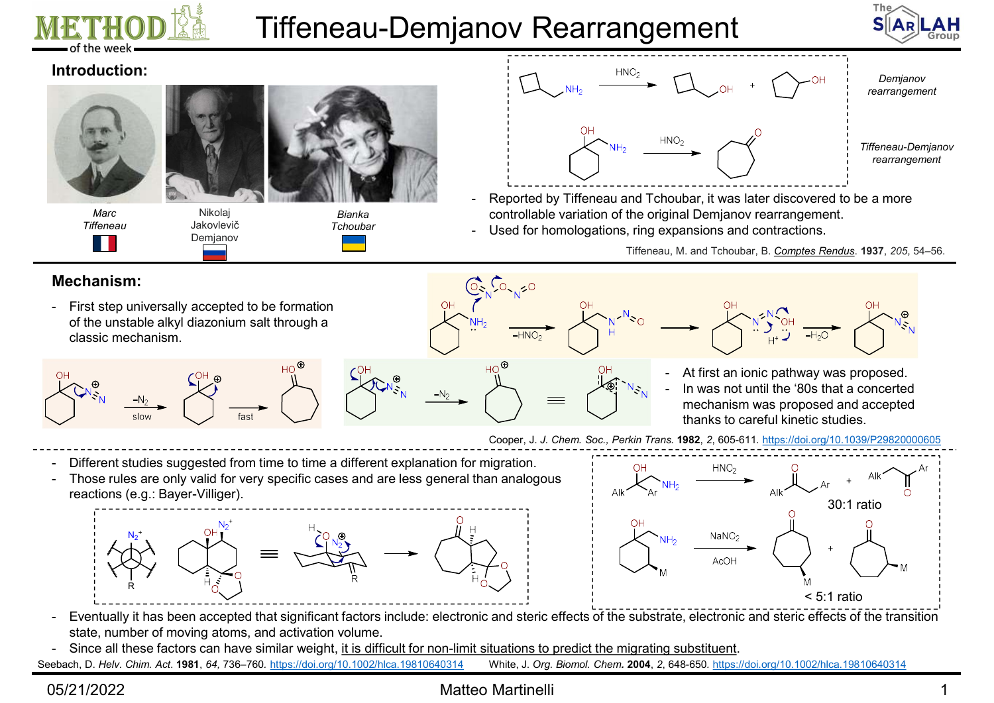

# Tiffeneau-Demjanov Rearrangement



### Introduction:



Marc Nikolaj Tiffeneau Jakovlevič Demjanov



- controllable variation of the original Demjanov rearrangement.
- Tchoubar **Expansions** Used for homologations, ring expansions and contractions.

### Mechanism:

of the unstable alkyl diazonium salt through a classic mechanism.





- - mechanism was proposed and accepted thanks to careful kinetic studies.

- 
- reactions (e.g.: Bayer-Villiger).





- state, number of moving atoms, and activation volume.
- 
- Seebach, D. Helv. Chim. Act. 1981, 64, 736–760. https://doi.org/10.1002/hlca.19810640314 White, J. Org. Biomol. Chem. 2004, 2, 648-650. https://doi.org/10.1002/hlca.19810640314